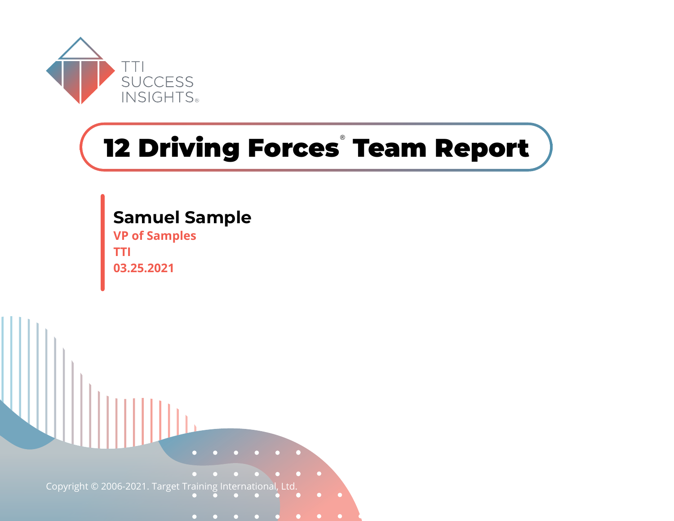

# **12 Driving Forces**®  **Team Report**



**Samuel Sample**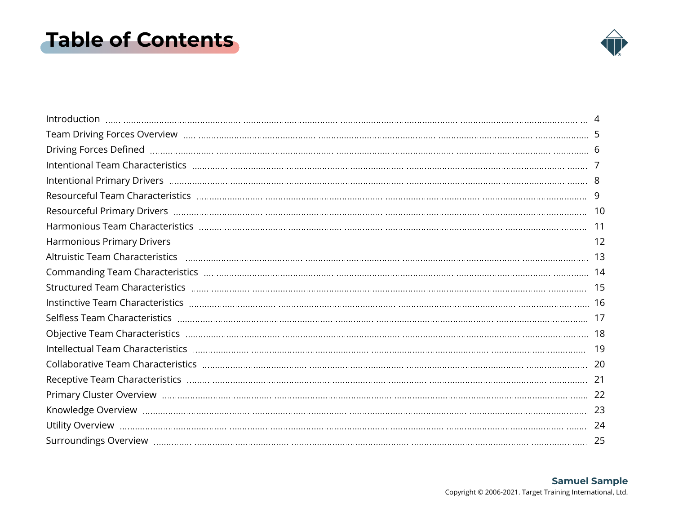### <span id="page-1-0"></span>**Table of Contents**

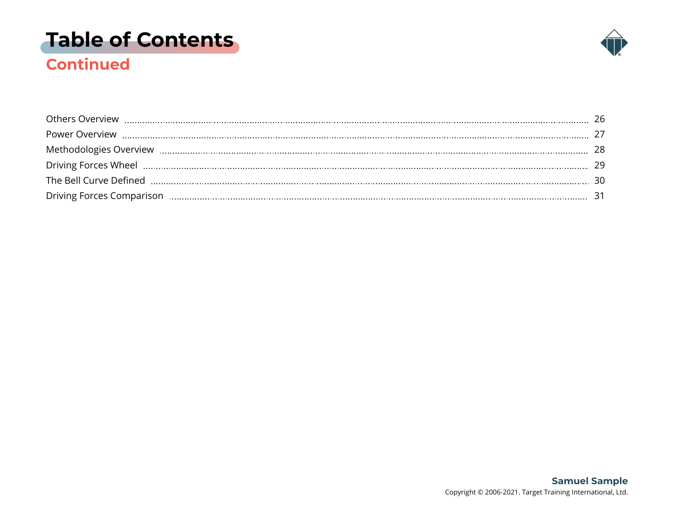### **[Table of Contents](#page-1-0)**



### **Continued**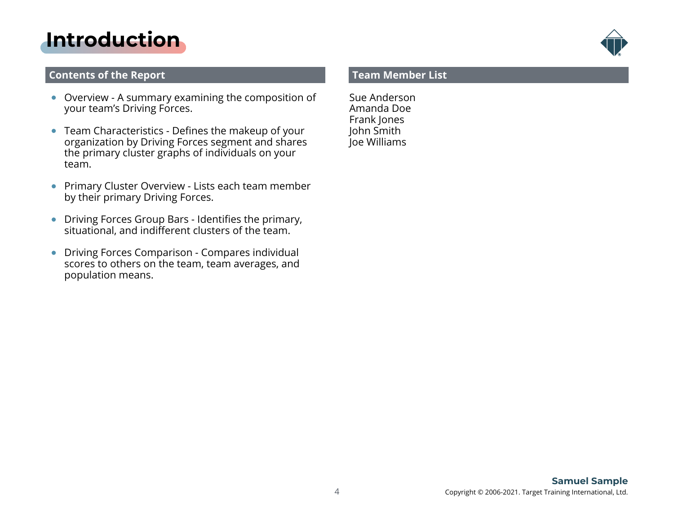### <span id="page-3-0"></span>**[Introduction](#page-1-0)**

#### **Contents of the Report**

- Overview A summary examining the composition of your team's Driving Forces.
- Team Characteristics Defines the makeup of your organization by Driving Forces segment and shares the primary cluster graphs of individuals on your team.
- **Primary Cluster Overview Lists each team member** by their primary Driving Forces.
- Driving Forces Group Bars Identifies the primary, situational, and indifferent clusters of the team.
- Driving Forces Comparison Compares individual  $\bullet$ scores to others on the team, team averages, and population means.

#### **Team Member List**

Sue Anderson Amanda Doe Frank Jones John Smith Joe Williams

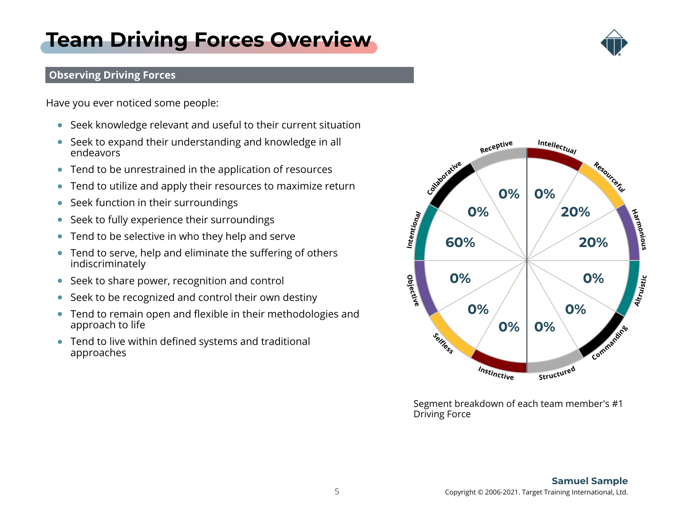#### 5 Copyright © 2006-2021. Target Training International, Ltd. **Samuel Sample**

### **Observing Driving Forces**

Have you ever noticed some people:

Seek knowledge relevant and useful to their current situation

<span id="page-4-0"></span>**[Team Driving Forces Overview](#page-1-0)**

- Seek to expand their understanding and knowledge in all endeavors
- Tend to be unrestrained in the application of resources
- Tend to utilize and apply their resources to maximize return  $\bullet$
- Seek function in their surroundings  $\bullet$
- Seek to fully experience their surroundings  $\bullet$
- Tend to be selective in who they help and serve  $\bullet$
- Tend to serve, help and eliminate the suffering of others  $\bullet$ indiscriminately
- Seek to share power, recognition and control
- Seek to be recognized and control their own destiny  $\bullet$
- Tend to remain open and flexible in their methodologies and  $\bullet$ approach to life
- Tend to live within defined systems and traditional approaches



Segment breakdown of each team member's #1 Driving Force

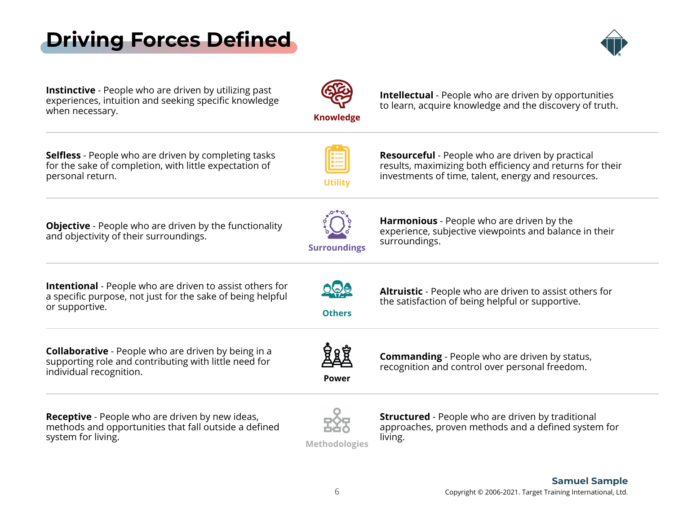## <span id="page-5-0"></span>**[Driving Forces Defined](#page-1-0)**



**Instinctive** - People who are driven by utilizing past<br>experiences, intuition and seeking specific knowledge experiences, intuition and seeking specific knowledge when necessary.

**Knowledge**

**Intellectual** - People who are driven by opportunities to learn, acquire knowledge and the discovery of truth.

**Selfless** - People who are driven by completing tasks<br>for the sake of completion, with little expectation of for the sake of completion, with little expectation of personal return.

**Utility**

**Resourceful** - People who are driven by practical<br>results, maximizing both efficiency and returns for their results, maximizing both efficiency and returns for their investments of time, talent, energy and resources.

**Objective** - People who are driven by the functionality and objectivity of their surroundings.



**Harmonious** - People who are driven by the<br>synorionse, subjective viewpoints and balance in their experience, subjective viewpoints and balance in their surroundings.

**Altruistic** - People who are driven to assist others for

the satisfaction of being helpful or supportive.

**Intentional** - People who are driven to assist others for<br>a specific purpose, not just for the sake of being belaful a specific purpose, not just for the sake of being helpful or supportive.

**Collaborative** - People who are driven by being in a<br>Supporting role and contributing with little need for supporting role and contributing with little need for individual recognition.

**Others**

**Power**

**Commanding** - People who are driven by status, recognition and control over personal freedom.

**Receptive** - People who are driven by new ideas,<br>methods and opportunities that fall outside a defined methods and opportunities that fall outside a defined system for living.



**Structured** - People who are driven by traditional<br>approaches, proven methods and a defined system for approaches, proven methods and a defined system for living.

**Methodologies**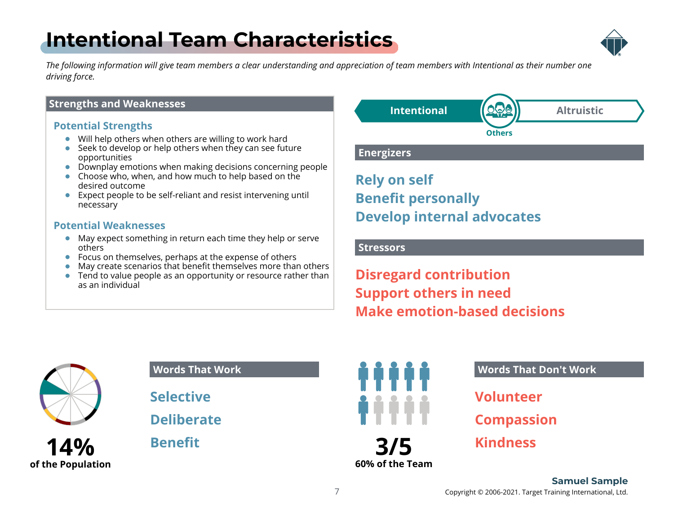## <span id="page-6-0"></span>**[Intentional Team Characteristics](#page-1-0)**



*The following information will give team members a clear understanding and appreciation of team members with Intentional as their number one driving force.*

#### **Strengths and Weaknesses**

#### **Potential Strengths**

- Will help others when others are willing to work hard
- Seek to develop or help others when they can see future opportunities
- Downplay emotions when making decisions concerning people
- Choose who, when, and how much to help based on the desired outcome
- **Expect people to be self-reliant and resist intervening untill** necessary

#### **Potential Weaknesses**

- May expect something in return each time they help or serve others
- Focus on themselves, perhaps at the expense of others
- May create scenarios that benefit themselves more than others
- Tend to value people as an opportunity or resource rather than as an individual



**Rely on self Benefit personally Develop internal advocates**

**Stressors**

**Disregard contribution Support others in need Make emotion-based decisions**



**14% of the Population**

#### **Words That Work**

**Selective**

**Deliberate**

**Benefit**



#### **Words That Don't Work**

**Volunteer**

**Compassion**

**Kindness**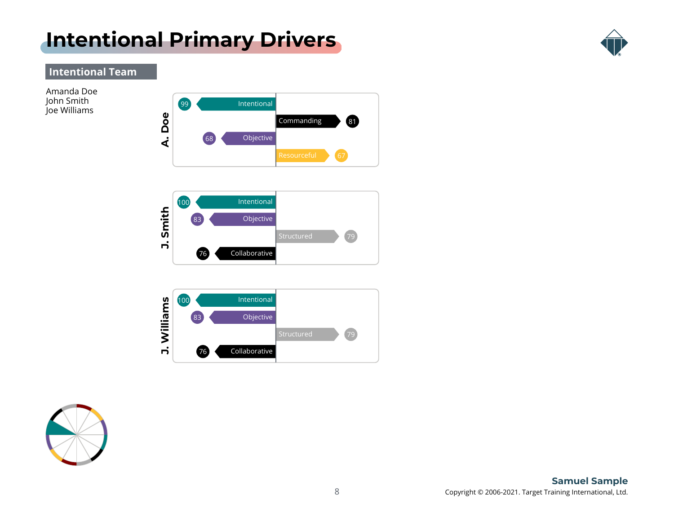### <span id="page-7-0"></span>**[Intentional Primary Drivers](#page-1-0)**



### **Intentional Team**

Amanda Doe John Smith







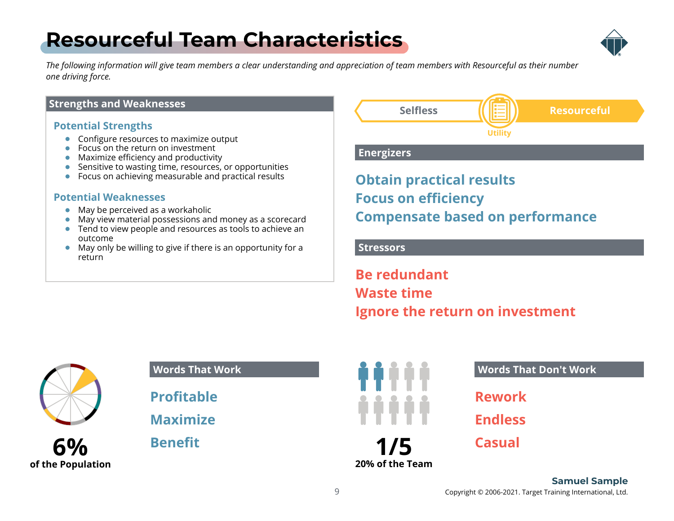## <span id="page-8-0"></span>**[Resourceful Team Characteristics](#page-1-0)**



*The following information will give team members a clear understanding and appreciation of team members with Resourceful as their number one driving force.*

#### **Strengths and Weaknesses**

#### **Potential Strengths**

- **•** Configure resources to maximize output
- Focus on the return on investment
- Maximize efficiency and productivity
- Sensitive to wasting time, resources, or opportunities
- Focus on achieving measurable and practical results

#### **Potential Weaknesses**

- May be perceived as a workaholic
- May view material possessions and money as a scorecard
- Tend to view people and resources as tools to achieve an outcome
- May only be willing to give if there is an opportunity for a return



#### **Energizers**

### **Obtain practical results Focus on efficiency Compensate based on performance**

#### **Stressors**

**Be redundant Waste time Ignore the return on investment**





#### **Words That Work**

**Profitable**

**Maximize**

**Benefit**



**Words That Don't Work**

**Rework**

**Endless**

**Casual**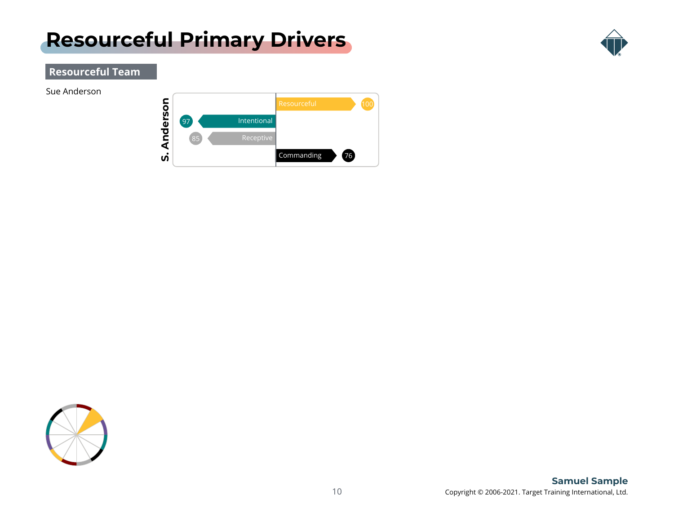### <span id="page-9-0"></span>**[Resourceful Primary Drivers](#page-1-0)**



### **Resourceful Team**

Sue Anderson



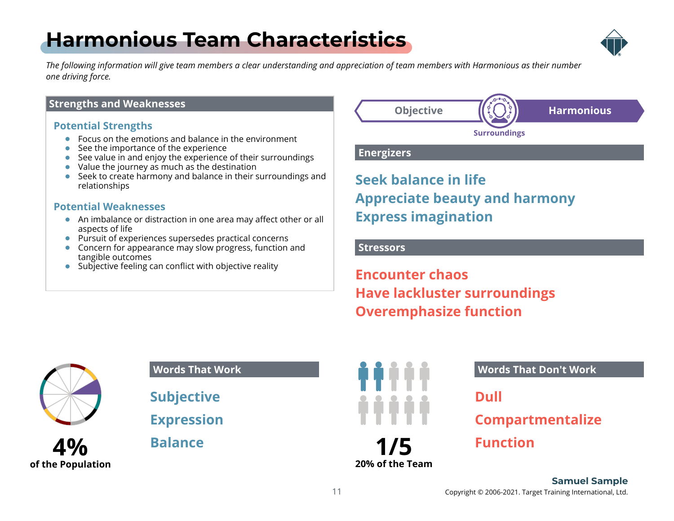## <span id="page-10-0"></span>**[Harmonious Team Characteristics](#page-1-0)**



*The following information will give team members a clear understanding and appreciation of team members with Harmonious as their number one driving force.*

#### **Strengths and Weaknesses**

#### **Potential Strengths**

- Focus on the emotions and balance in the environment
- See the importance of the experience
- See value in and enjoy the experience of their surroundings
- Value the journey as much as the destination
- Seek to create harmony and balance in their surroundings and relationships

#### **Potential Weaknesses**

- An imbalance or distraction in one area may affect other or all aspects of life
- Pursuit of experiences supersedes practical concerns
- Concern for appearance may slow progress, function and tangible outcomes
- Subjective feeling can conflict with objective reality



**Energizers**

### **Seek balance in life Appreciate beauty and harmony Express imagination**

#### **Stressors**

**Encounter chaos Have lackluster surroundings Overemphasize function**



**4% of the Population**

#### **Words That Work**

**Subjective**

**Expression**

**Balance**



**Words That Don't Work**

**Dull**

### **Compartmentalize**

**Function**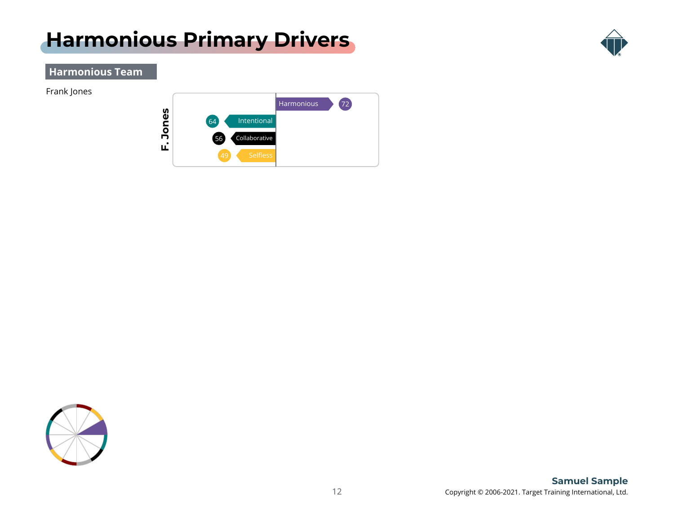### <span id="page-11-0"></span>**[Harmonious Primary Drivers](#page-1-0)**



#### **Harmonious Team**

Frank Jones



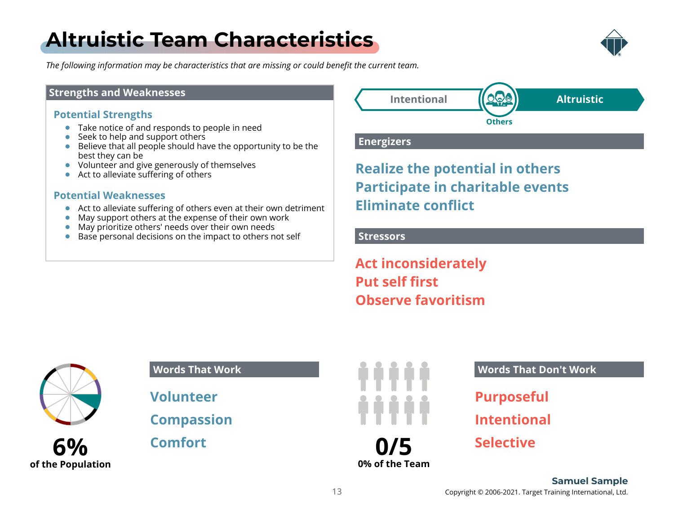## <span id="page-12-0"></span>**[Altruistic Team Characteristics](#page-1-0)**



*The following information may be characteristics that are missing or could benefit the current team.*

#### **Strengths and Weaknesses**

#### **Potential Strengths**

- Take notice of and responds to people in need
- Seek to help and support others
- Believe that all people should have the opportunity to be the best they can be
- Volunteer and give generously of themselves
- Act to alleviate suffering of others

#### **Potential Weaknesses**

- Act to alleviate suffering of others even at their own detriment
- May support others at the expense of their own work  $\bullet$
- May prioritize others' needs over their own needs
- $\bullet$  Base personal decisions on the impact to others not self



#### **Energizers**

### **Realize the potential in others Participate in charitable events Eliminate conflict**

#### **Stressors**

**Act inconsiderately Put self first Observe favoritism**



### **6% of the Population**

#### **Words That Work**

**Volunteer**

**Compassion**

**Comfort**



#### **Words That Don't Work**

**Purposeful**

**Intentional**

**Selective**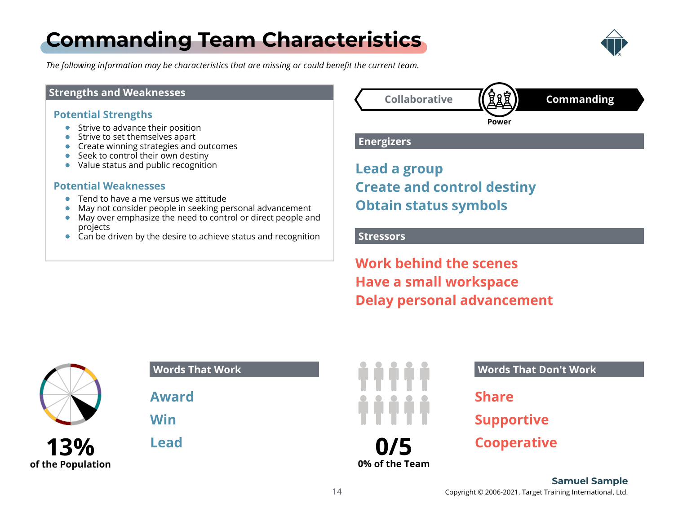## <span id="page-13-0"></span>**[Commanding Team Characteristics](#page-1-0)**



*The following information may be characteristics that are missing or could benefit the current team.*

#### **Strengths and Weaknesses**

#### **Potential Strengths**

- Strive to advance their position
- Strive to set themselves apart
- **Create winning strategies and outcomes**
- Seek to control their own destiny
- Value status and public recognition

#### **Potential Weaknesses**

- Tend to have a me versus we attitude
- May not consider people in seeking personal advancement
- May over emphasize the need to control or direct people and projects
- $\bullet$  Can be driven by the desire to achieve status and recognition



#### **Energizers**

**Lead a group Create and control destiny Obtain status symbols**

#### **Stressors**

**Work behind the scenes Have a small workspace Delay personal advancement**



| 13%               |  |
|-------------------|--|
| of the Population |  |

| <b>Words That Work</b> |  |
|------------------------|--|
| <b>Award</b>           |  |
| Win                    |  |
| <b>Lead</b>            |  |
|                        |  |



#### **Words That Don't Work**

**Share**

**Supportive**

**Cooperative**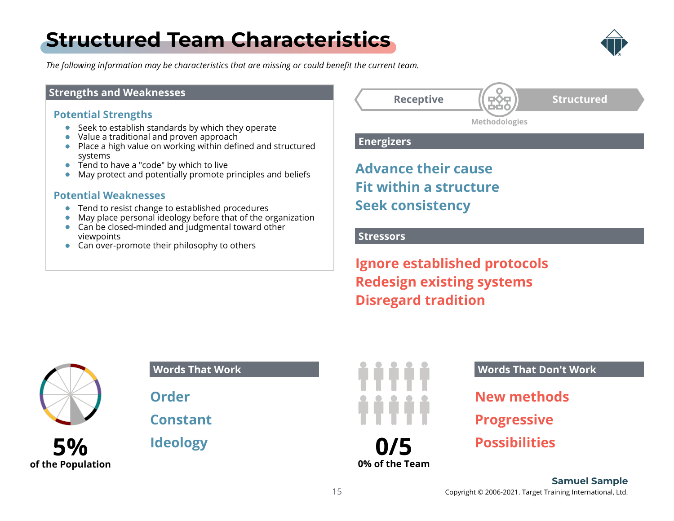### <span id="page-14-0"></span>**[Structured Team Characteristics](#page-1-0)**



*The following information may be characteristics that are missing or could benefit the current team.*

#### **Strengths and Weaknesses**

#### **Potential Strengths**

- $\bullet$  Seek to establish standards by which they operate
- Value a traditional and proven approach
- Place a high value on working within defined and structured systems
- Tend to have a "code" by which to live
- May protect and potentially promote principles and beliefs

#### **Potential Weaknesses**

- Tend to resist change to established procedures
- May place personal ideology before that of the organization  $\bullet$
- Can be closed-minded and judgmental toward other viewpoints
- Can over-promote their philosophy to others

**Receptive (FOT)** Structured **Methodologies**

**Energizers**

**Advance their cause Fit within a structure Seek consistency**

#### **Stressors**

**Ignore established protocols Redesign existing systems Disregard tradition**



**5%**

**of the Population**

**Words That Work**

**Order**

**Constant**

**Ideology**



**Words That Don't Work**

- **New methods**
- **Progressive**
- **Possibilities**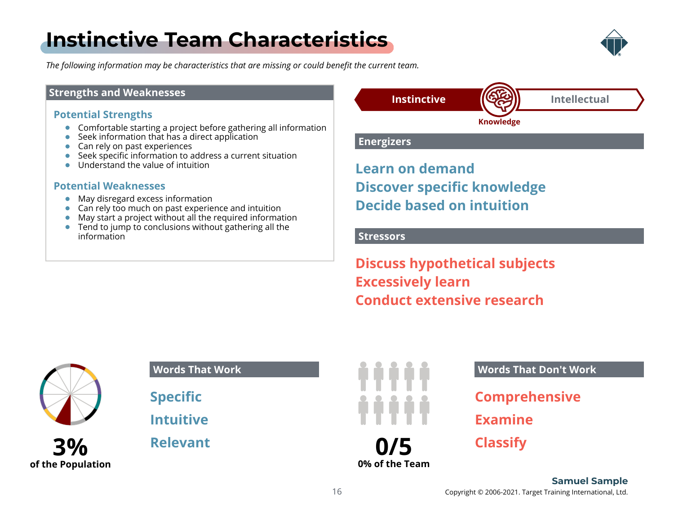## <span id="page-15-0"></span>**[Instinctive Team Characteristics](#page-1-0)**



*The following information may be characteristics that are missing or could benefit the current team.*

#### **Strengths and Weaknesses**

#### **Potential Strengths**

- Comfortable starting a project before gathering all information
- Seek information that has a direct application
- Can rely on past experiences
- Seek specific information to address a current situation
- Understand the value of intuition

#### **Potential Weaknesses**

- May disregard excess information
- Can rely too much on past experience and intuition
- May start a project without all the required information
- Tend to jump to conclusions without gathering all the information



**Knowledge**

#### **Energizers**

**Learn on demand Discover specific knowledge Decide based on intuition**

#### **Stressors**

**Discuss hypothetical subjects Excessively learn Conduct extensive research**



**3%**

**of the Population**

**Words That Work**

**Specific**

**Intuitive**

**Relevant**



#### **Words That Don't Work**

**Comprehensive**

**Examine**

**Classify**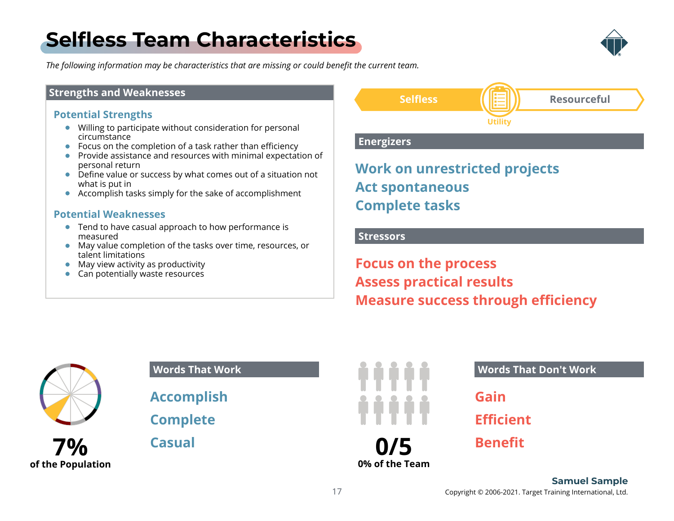## <span id="page-16-0"></span>**[Selfless Team Characteristics](#page-1-0)**



*The following information may be characteristics that are missing or could benefit the current team.*

#### **Strengths and Weaknesses**

#### **Potential Strengths**

- Willing to participate without consideration for personal circumstance
- Focus on the completion of a task rather than efficiency
- **•** Provide assistance and resources with minimal expectation of personal return
- Define value or success by what comes out of a situation not what is put in
- Accomplish tasks simply for the sake of accomplishment

#### **Potential Weaknesses**

- **•** Tend to have casual approach to how performance is measured
- May value completion of the tasks over time, resources, or talent limitations
- May view activity as productivity
- Can potentially waste resources



#### **Energizers**

### **Work on unrestricted projects Act spontaneous Complete tasks**

#### **Stressors**

**Focus on the process Assess practical results Measure success through efficiency**



### **7% of the Population**

#### **Words That Work**

**Accomplish**

**Complete**

**Casual**



#### **Words That Don't Work**

**Gain**

**Efficient**

**Benefit**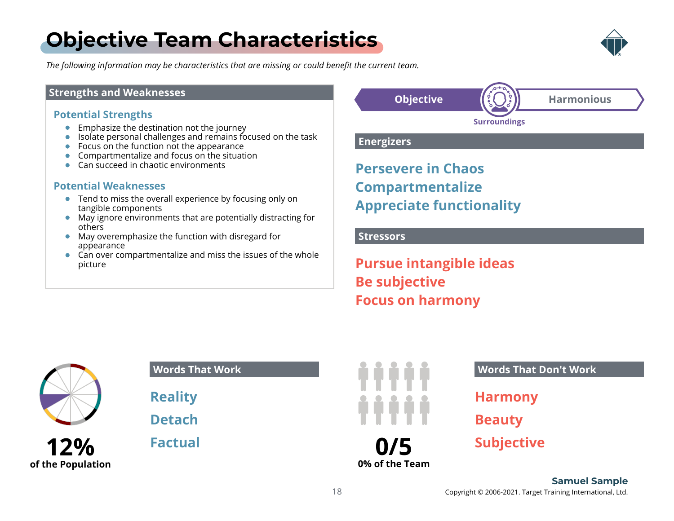## <span id="page-17-0"></span>**[Objective Team Characteristics](#page-1-0)**



*The following information may be characteristics that are missing or could benefit the current team.*

#### **Strengths and Weaknesses**

#### **Potential Strengths**

- **Emphasize the destination not the journey**
- Isolate personal challenges and remains focused on the task
- Focus on the function not the appearance
- Compartmentalize and focus on the situation
- Can succeed in chaotic environments

#### **Potential Weaknesses**

- **•** Tend to miss the overall experience by focusing only on tangible components
- May ignore environments that are potentially distracting for others
- May overemphasize the function with disregard for appearance
- Can over compartmentalize and miss the issues of the whole picture



#### **Energizers**

**Persevere in Chaos Compartmentalize Appreciate functionality**

#### **Stressors**

**Pursue intangible ideas Be subjective Focus on harmony**



**12% of the Population**

| <b>Words That Work</b> |  |
|------------------------|--|
| <b>Reality</b>         |  |
| <b>Detach</b>          |  |

**Factual**



**Words That Don't Work**

**Harmony**

**Beauty**

**Subjective**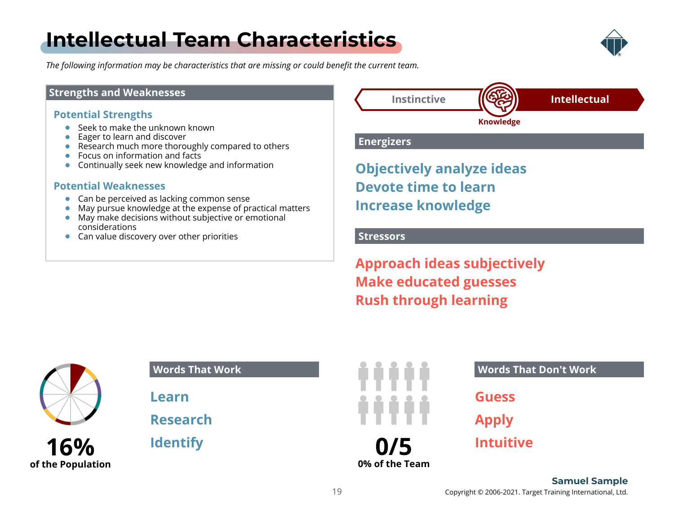## <span id="page-18-0"></span>**[Intellectual Team Characteristics](#page-1-0)**



*The following information may be characteristics that are missing or could benefit the current team.*

#### **Strengths and Weaknesses**

#### **Potential Strengths**

- Seek to make the unknown known
- Eager to learn and discover
- Research much more thoroughly compared to others
- Focus on information and facts
- Continually seek new knowledge and information

#### **Potential Weaknesses**

- Can be perceived as lacking common sense
- May pursue knowledge at the expense of practical matters
- May make decisions without subjective or emotional considerations
- **Can value discovery over other priorities**



#### **Energizers**

**Objectively analyze ideas Devote time to learn Increase knowledge**

#### **Stressors**

**Approach ideas subjectively Make educated guesses Rush through learning**



**16%**

**of the Population**

### **Words That Work**

**Learn**

**Research**

**Identify**



#### **Words That Don't Work**

**Guess**

**Apply**

**Intuitive**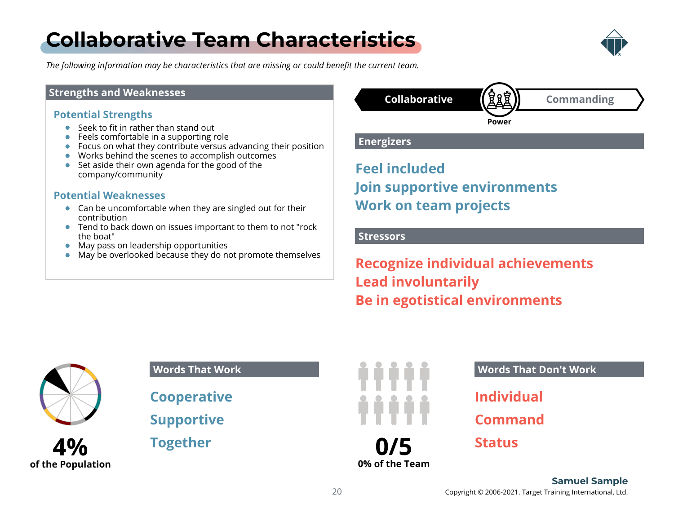## <span id="page-19-0"></span>**[Collaborative Team Characteristics](#page-1-0)**



*The following information may be characteristics that are missing or could benefit the current team.*

#### **Strengths and Weaknesses**

#### **Potential Strengths**

- Seek to fit in rather than stand out
- **•** Feels comfortable in a supporting role
- Focus on what they contribute versus advancing their position
- Works behind the scenes to accomplish outcomes
- Set aside their own agenda for the good of the company/community

#### **Potential Weaknesses**

- Can be uncomfortable when they are singled out for their contribution
- **•** Tend to back down on issues important to them to not "rock" the boat"
- May pass on leadership opportunities
- May be overlooked because they do not promote themselves

### **Collaborative Commanding Power**

**Energizers**

**Feel included Join supportive environments Work on team projects**

#### **Stressors**

**Recognize individual achievements Lead involuntarily Be in egotistical environments**



### **4% of the Population**

#### **Words That Work**

**Cooperative**

**Supportive**

**Together**



#### **Words That Don't Work**

**Individual**

**Command**

**Status**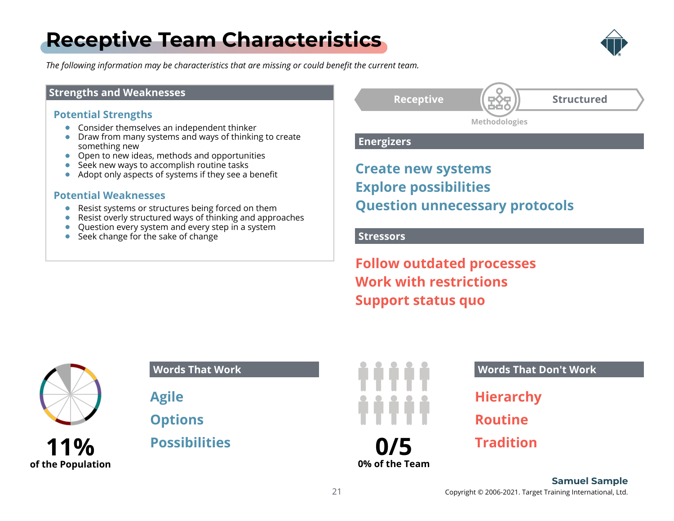## <span id="page-20-0"></span>**[Receptive Team Characteristics](#page-1-0)**



*The following information may be characteristics that are missing or could benefit the current team.*

#### **Strengths and Weaknesses**

#### **Potential Strengths**

- **•** Consider themselves an independent thinker
- **•** Draw from many systems and ways of thinking to create something new
- Open to new ideas, methods and opportunities
- Seek new ways to accomplish routine tasks
- Adopt only aspects of systems if they see a benefit

#### **Potential Weaknesses**

- Resist systems or structures being forced on them
- Resist overly structured ways of thinking and approaches
- Question every system and every step in a system
- Seek change for the sake of change

Receptive **【 豆◆豆 】 Structured** 

**Methodologies**

**Energizers**

**Create new systems Explore possibilities Question unnecessary protocols**

#### **Stressors**

**Follow outdated processes Work with restrictions Support status quo**



**of the Population**

**Words That Work**

**Agile**

**Options**

**Possibilities**



**Words That Don't Work**

**Hierarchy**

**Routine**

**Tradition**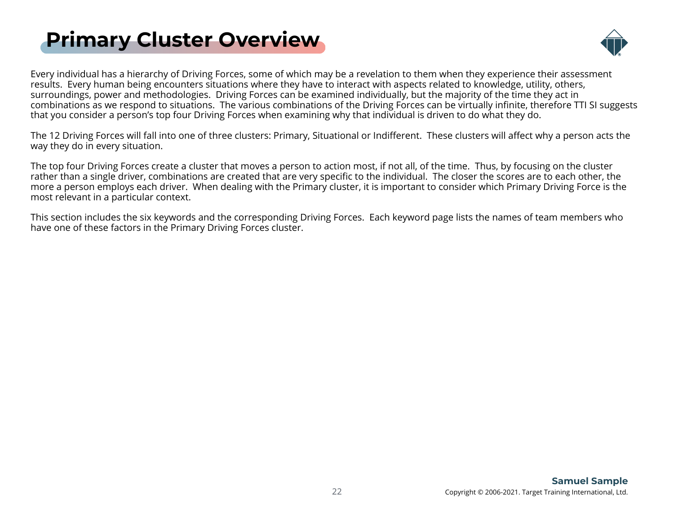## <span id="page-21-0"></span>**[Primary Cluster Overview](#page-1-0)**



Every individual has a hierarchy of Driving Forces, some of which may be a revelation to them when they experience their assessm[ent](#page-1-0) results. Every human being encounters situations where they have to interact with aspects related to knowledge, utility, others, surroundings, power and methodologies. Driving Forces can be examined individually, but the majority of the time they act in combinations as we respond to situations. The various combinations of the Driving Forces can be virtually infinite, therefore TTI SI suggests that you consider a person's top four Driving Forces when examining why that individual is driven to do what they do.

The 12 Driving Forces will fall into one of three clusters: Primary, Situational or Indifferent. These clusters will affect why a person acts the way they do in every situation.

The top four Driving Forces create a cluster that moves a person to action most, if not all, of the time. Thus, by focusing on the cluster rather than a single driver, combinations are created that are very specific to the individual. The closer the scores are to each other, the more a person employs each driver. When dealing with the Primary cluster, it is important to consider which Primary Driving Force is the most relevant in a particular context.

This section includes the six keywords and the corresponding Driving Forces. Each keyword page lists the names of team members who have one of these factors in the Primary Driving Forces cluster.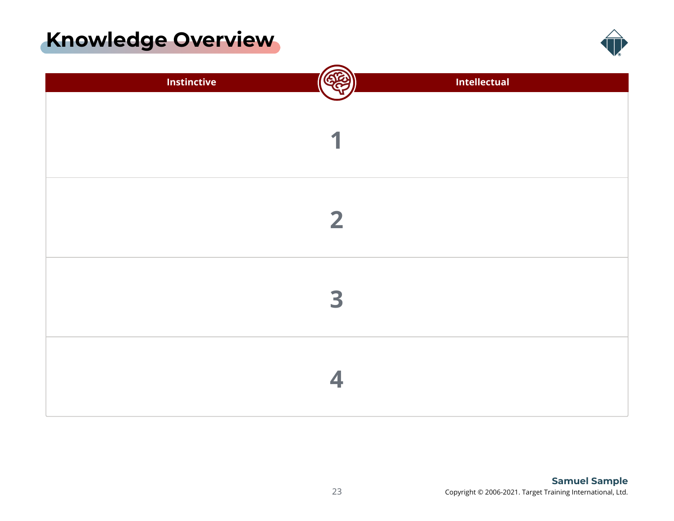### <span id="page-22-0"></span>**[Knowledge Overview](#page-1-0)**



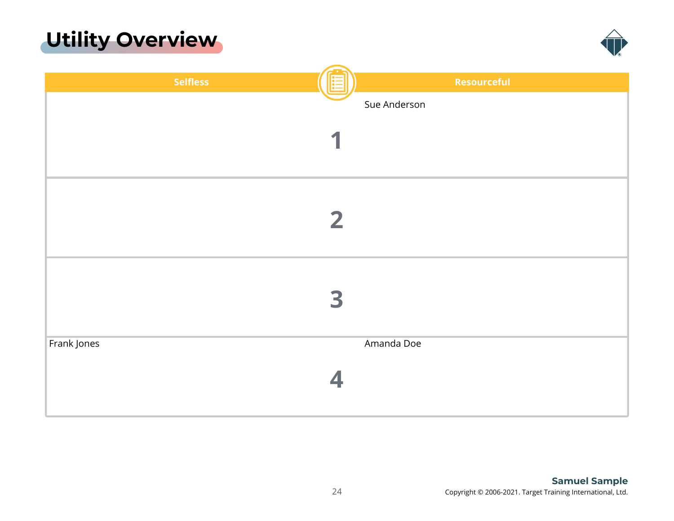### <span id="page-23-0"></span>**[Utility Overview](#page-1-0)**



| <b>Selfless</b>      | Resourceful  |
|----------------------|--------------|
|                      | Sue Anderson |
|                      |              |
| 1                    |              |
|                      |              |
|                      |              |
|                      |              |
|                      | $\mathbf{2}$ |
|                      |              |
|                      |              |
|                      |              |
|                      |              |
| 3                    |              |
|                      |              |
| Frank Jones          | Amanda Doe   |
|                      |              |
| $\blacktriangleleft$ |              |
|                      |              |
|                      |              |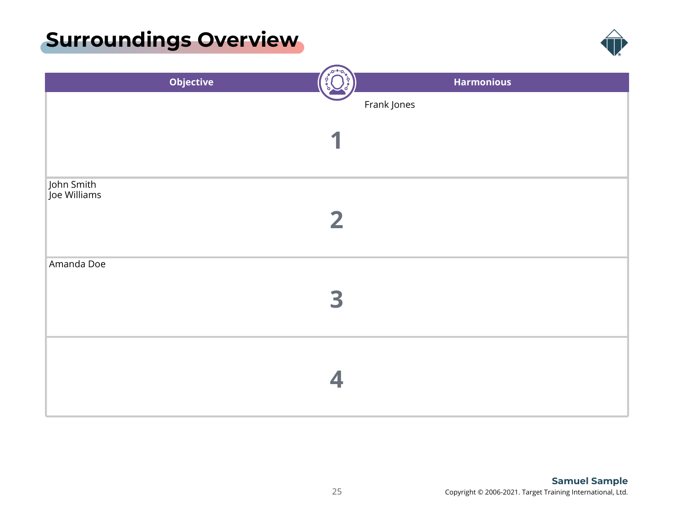### <span id="page-24-0"></span>**[Surroundings Overview](#page-1-0)**



| <b>Objective</b>           |              | <b>Harmonious</b> |
|----------------------------|--------------|-------------------|
|                            | Frank Jones  |                   |
|                            |              |                   |
|                            |              |                   |
|                            |              |                   |
|                            |              |                   |
| John Smith<br>Joe Williams |              |                   |
|                            |              |                   |
|                            | $\mathbf{2}$ |                   |
|                            |              |                   |
| Amanda Doe                 |              |                   |
|                            |              |                   |
|                            | 3            |                   |
|                            |              |                   |
|                            |              |                   |
|                            |              |                   |
|                            |              |                   |
|                            |              |                   |
|                            |              |                   |
|                            |              |                   |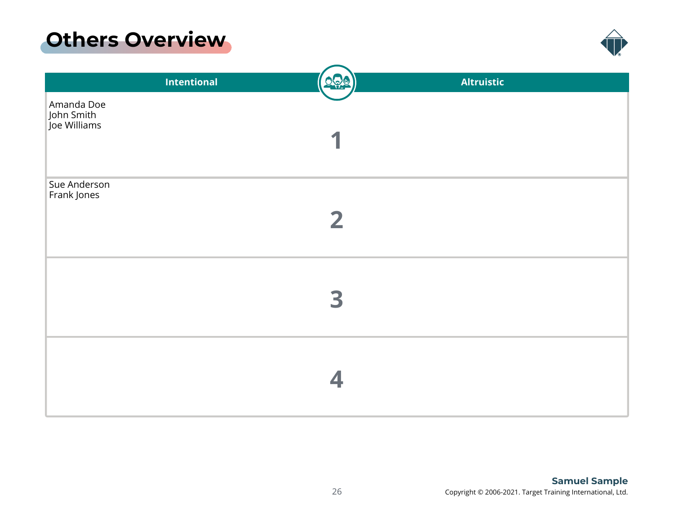### <span id="page-25-0"></span>**[Others Overview](#page-1-0)**



|                                          | <b>Intentional</b> | <u>000</u>     | <b>Altruistic</b> |
|------------------------------------------|--------------------|----------------|-------------------|
| Amanda Doe<br>John Smith<br>Joe Williams |                    |                |                   |
| Sue Anderson<br>Frank Jones              |                    | $\overline{2}$ |                   |
|                                          |                    | 3              |                   |
|                                          |                    |                |                   |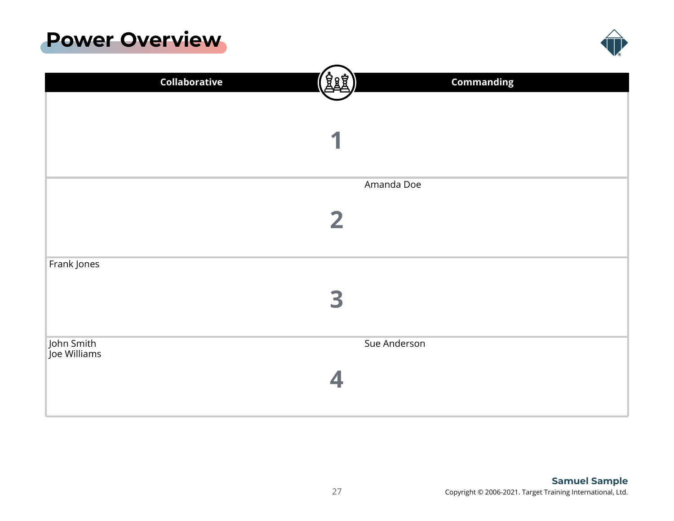### <span id="page-26-0"></span>**[Power Overview](#page-1-0)**



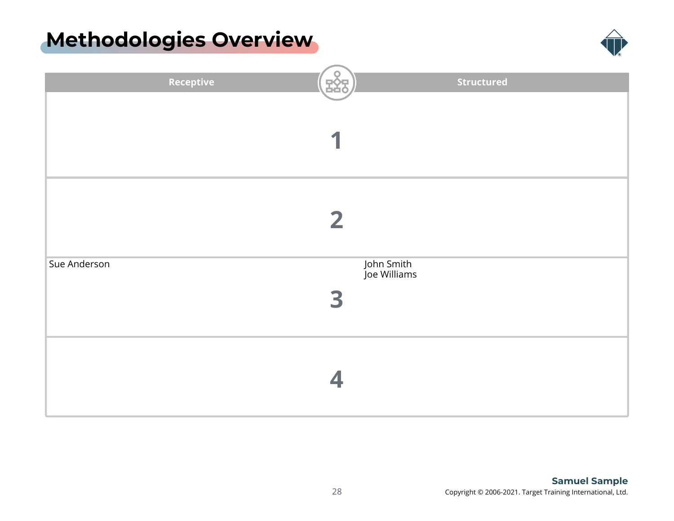### <span id="page-27-0"></span>**[Methodologies Overview](#page-1-0)**



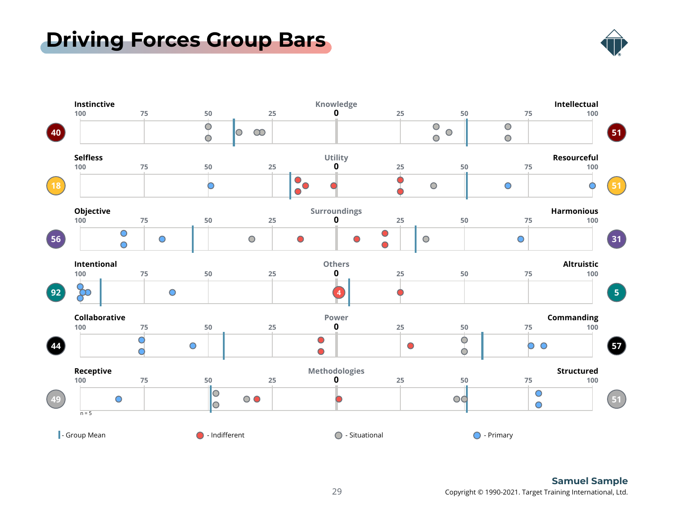### <span id="page-28-0"></span>**[Driving Forces Group Bars](#page-1-0)**



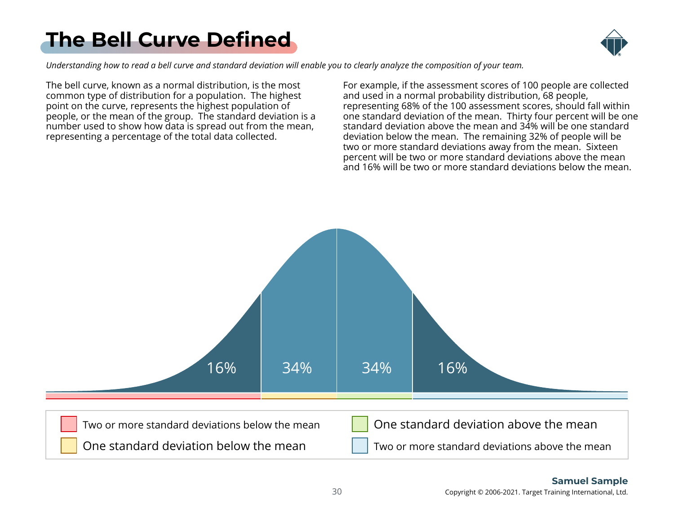## <span id="page-29-0"></span>**[The Bell Curve Defined](#page-1-0)**



*Understanding how to read a bell curve and standard deviation will enable you to clearly analyze the composition of your team.*

The bell curve, known as a normal distribution, is the most common type of distribution for a population. The highest point on the curve, represents the highest population of people, or the mean of the group. The standard deviation is a number used to show how data is spread out from the mean, representing a percentage of the total data collected.

For example, if the assessment scores of 100 people are collected and used in a normal probability distribution, 68 people, representing 68% of the 100 assessment scores, should fall within one standard deviation of the mean. Thirty four percent will be one standard deviation above the mean and 34% will be one standard deviation below the mean. The remaining 32% of people will be two or more standard deviations away from the mean. Sixteen percent will be two or more standard deviations above the mean and 16% will be two or more standard deviations below the mean.